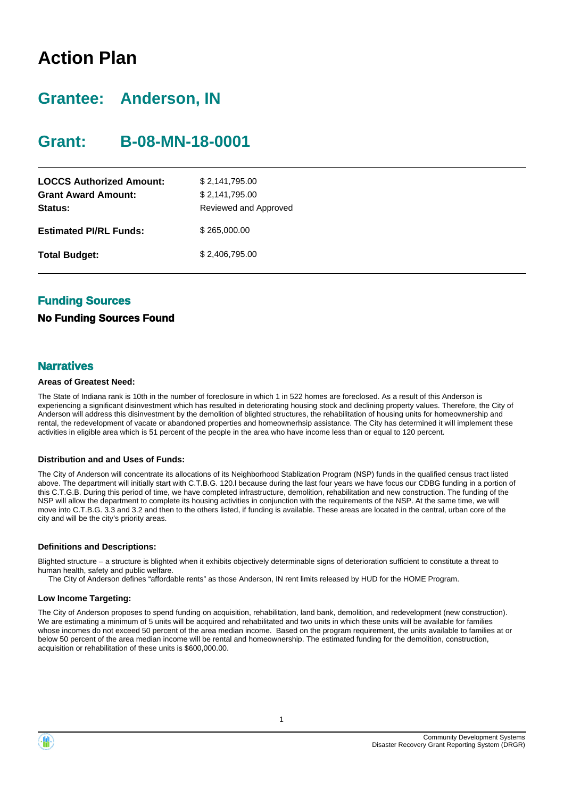## **Action Plan**

## **Grantee: Anderson, IN**

### **Grant: B-08-MN-18-0001**

| <b>LOCCS Authorized Amount:</b><br><b>Grant Award Amount:</b><br>Status: | \$2,141,795.00<br>\$2,141,795.00<br>Reviewed and Approved |
|--------------------------------------------------------------------------|-----------------------------------------------------------|
| <b>Estimated PI/RL Funds:</b>                                            | \$265,000.00                                              |
| <b>Total Budget:</b>                                                     | \$2.406.795.00                                            |

### **Funding Sources**

#### **No Funding Sources Found**

#### **Narratives**

#### **Areas of Greatest Need:**

The State of Indiana rank is 10th in the number of foreclosure in which 1 in 522 homes are foreclosed. As a result of this Anderson is experiencing a significant disinvestment which has resulted in deteriorating housing stock and declining property values. Therefore, the City of Anderson will address this disinvestment by the demolition of blighted structures, the rehabilitation of housing units for homeownership and rental, the redevelopment of vacate or abandoned properties and homeownerhsip assistance. The City has determined it will implement these activities in eligible area which is 51 percent of the people in the area who have income less than or equal to 120 percent.

#### **Distribution and and Uses of Funds:**

The City of Anderson will concentrate its allocations of its Neighborhood Stablization Program (NSP) funds in the qualified census tract listed above. The department will initially start with C.T.B.G. 120.l because during the last four years we have focus our CDBG funding in a portion of this C.T.G.B. During this period of time, we have completed infrastructure, demolition, rehabilitation and new construction. The funding of the NSP will allow the department to complete its housing activities in conjunction with the requirements of the NSP. At the same time, we will move into C.T.B.G. 3.3 and 3.2 and then to the others listed, if funding is available. These areas are located in the central, urban core of the city and will be the city's priority areas.

#### **Definitions and Descriptions:**

Blighted structure – a structure is blighted when it exhibits objectively determinable signs of deterioration sufficient to constitute a threat to human health, safety and public welfare.

The City of Anderson defines "affordable rents" as those Anderson, IN rent limits released by HUD for the HOME Program.

#### **Low Income Targeting:**

The City of Anderson proposes to spend funding on acquisition, rehabilitation, land bank, demolition, and redevelopment (new construction). We are estimating a minimum of 5 units will be acquired and rehabilitated and two units in which these units will be available for families whose incomes do not exceed 50 percent of the area median income. Based on the program requirement, the units available to families at or below 50 percent of the area median income will be rental and homeownership. The estimated funding for the demolition, construction, acquisition or rehabilitation of these units is \$600,000.00.



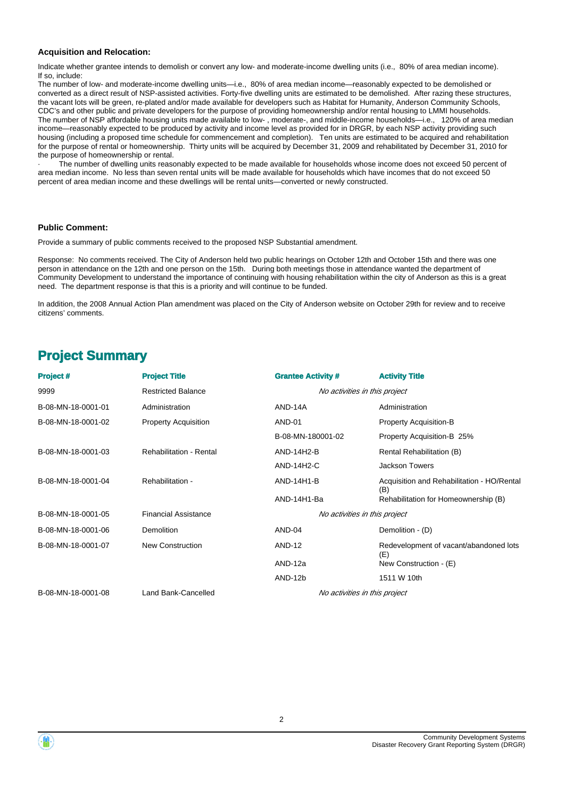#### **Acquisition and Relocation:**

Indicate whether grantee intends to demolish or convert any low- and moderate-income dwelling units (i.e., 80% of area median income). If so, include:

The number of low- and moderate-income dwelling units—i.e., 80% of area median income—reasonably expected to be demolished or converted as a direct result of NSP-assisted activities. Forty-five dwelling units are estimated to be demolished. After razing these structures, the vacant lots will be green, re-plated and/or made available for developers such as Habitat for Humanity, Anderson Community Schools, CDC's and other public and private developers for the purpose of providing homeownership and/or rental housing to LMMI households. The number of NSP affordable housing units made available to low- , moderate-, and middle-income households—i.e., 120% of area median income—reasonably expected to be produced by activity and income level as provided for in DRGR, by each NSP activity providing such housing (including a proposed time schedule for commencement and completion). Ten units are estimated to be acquired and rehabilitation for the purpose of rental or homeownership. Thirty units will be acquired by December 31, 2009 and rehabilitated by December 31, 2010 for the purpose of homeownership or rental.

The number of dwelling units reasonably expected to be made available for households whose income does not exceed 50 percent of area median income. No less than seven rental units will be made available for households which have incomes that do not exceed 50 percent of area median income and these dwellings will be rental units—converted or newly constructed.

#### **Public Comment:**

Provide a summary of public comments received to the proposed NSP Substantial amendment.

Response: No comments received. The City of Anderson held two public hearings on October 12th and October 15th and there was one person in attendance on the 12th and one person on the 15th. During both meetings those in attendance wanted the department of Community Development to understand the importance of continuing with housing rehabilitation within the city of Anderson as this is a great need. The department response is that this is a priority and will continue to be funded.

In addition, the 2008 Annual Action Plan amendment was placed on the City of Anderson website on October 29th for review and to receive citizens' comments.

### **Project Summary**

| <b>Project#</b>    | <b>Project Title</b>           | <b>Grantee Activity #</b>     | <b>Activity Title</b>                             |  |
|--------------------|--------------------------------|-------------------------------|---------------------------------------------------|--|
| 9999               | <b>Restricted Balance</b>      | No activities in this project |                                                   |  |
| B-08-MN-18-0001-01 | Administration                 | AND-14A                       | Administration                                    |  |
| B-08-MN-18-0001-02 | <b>Property Acquisition</b>    | AND-01                        | <b>Property Acquisition-B</b>                     |  |
|                    |                                | B-08-MN-180001-02             | Property Acquisition-B 25%                        |  |
| B-08-MN-18-0001-03 | <b>Rehabilitation - Rental</b> | AND-14H2-B                    | Rental Rehabilitation (B)                         |  |
|                    |                                | AND-14H2-C                    | <b>Jackson Towers</b>                             |  |
| B-08-MN-18-0001-04 | Rehabilitation -               | AND-14H1-B                    | Acquisition and Rehabilitation - HO/Rental<br>(B) |  |
|                    |                                | AND-14H1-Ba                   | Rehabilitation for Homeownership (B)              |  |
| B-08-MN-18-0001-05 | <b>Financial Assistance</b>    |                               | No activities in this project                     |  |
| B-08-MN-18-0001-06 | Demolition                     | AND-04                        | Demolition - (D)                                  |  |
| B-08-MN-18-0001-07 | <b>New Construction</b>        | <b>AND-12</b>                 | Redevelopment of vacant/abandoned lots<br>(E)     |  |
|                    |                                | AND-12a                       | New Construction - (E)                            |  |
|                    |                                | AND-12b                       | 1511 W 10th                                       |  |
| B-08-MN-18-0001-08 | Land Bank-Cancelled            |                               | No activities in this project                     |  |

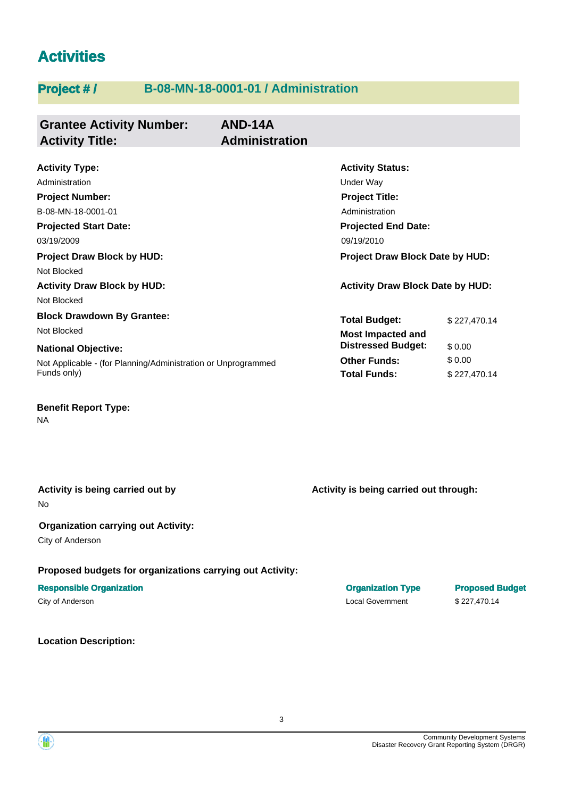## **Activities**

### **Project # / B-08-MN-18-0001-01 / Administration**

| <b>Grantee Activity Number:</b><br><b>Activity Title:</b>     | AND-14A<br><b>Administration</b> |                                         |              |  |
|---------------------------------------------------------------|----------------------------------|-----------------------------------------|--------------|--|
| <b>Activity Type:</b>                                         |                                  | <b>Activity Status:</b>                 |              |  |
| Administration                                                |                                  | Under Way                               |              |  |
| <b>Project Number:</b>                                        |                                  | <b>Project Title:</b>                   |              |  |
| B-08-MN-18-0001-01                                            |                                  | Administration                          |              |  |
| <b>Projected Start Date:</b>                                  |                                  | <b>Projected End Date:</b>              |              |  |
| 03/19/2009                                                    |                                  | 09/19/2010                              |              |  |
| <b>Project Draw Block by HUD:</b>                             |                                  | <b>Project Draw Block Date by HUD:</b>  |              |  |
| Not Blocked                                                   |                                  |                                         |              |  |
| <b>Activity Draw Block by HUD:</b>                            |                                  | <b>Activity Draw Block Date by HUD:</b> |              |  |
| Not Blocked                                                   |                                  |                                         |              |  |
| <b>Block Drawdown By Grantee:</b>                             |                                  | <b>Total Budget:</b>                    | \$227.470.14 |  |
| Not Blocked                                                   |                                  | <b>Most Impacted and</b>                |              |  |
| <b>National Objective:</b>                                    |                                  | <b>Distressed Budget:</b>               | \$0.00       |  |
| Not Applicable - (for Planning/Administration or Unprogrammed |                                  | <b>Other Funds:</b>                     | \$0.00       |  |
| Funds only)                                                   |                                  | <b>Total Funds:</b>                     | \$227,470.14 |  |
|                                                               |                                  |                                         |              |  |

**Benefit Report Type:**

NA

No **Activity is being carried out by**

#### **Organization carrying out Activity:**

City of Anderson

#### **Proposed budgets for organizations carrying out Activity:**

#### **Responsible Organization Organization Type Proposed Budget**

City of Anderson Local Government \$ 227,470.14

**Location Description:**

**Activity is being carried out through:**



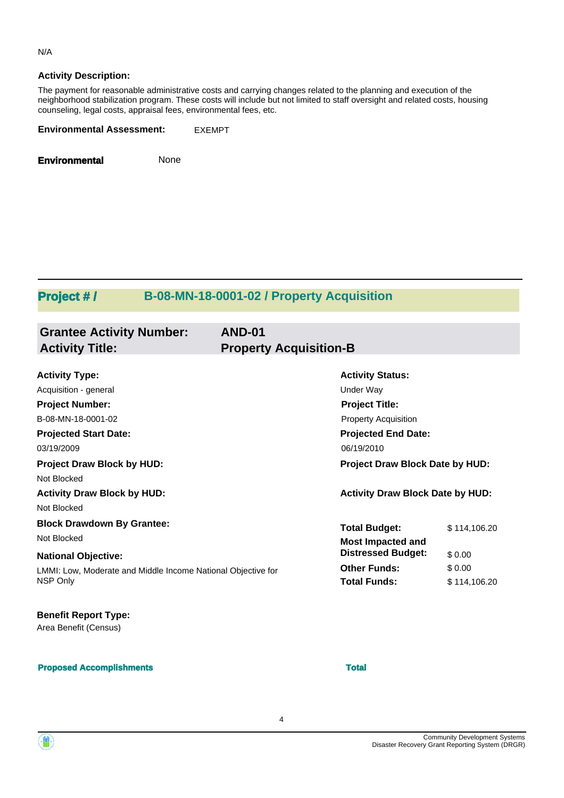#### N/A

#### **Activity Description:**

The payment for reasonable administrative costs and carrying changes related to the planning and execution of the neighborhood stabilization program. These costs will include but not limited to staff oversight and related costs, housing counseling, legal costs, appraisal fees, environmental fees, etc.

**Environmental Assessment:** EXEMPT

**Environmental** None

### **Project # / B-08-MN-18-0001-02 / Property Acquisition**

| <b>Grantee Activity Number:</b><br><b>Activity Title:</b>    | <b>AND-01</b><br><b>Property Acquisition-B</b> |                                         |              |
|--------------------------------------------------------------|------------------------------------------------|-----------------------------------------|--------------|
|                                                              |                                                |                                         |              |
| <b>Activity Type:</b>                                        |                                                | <b>Activity Status:</b>                 |              |
| Acquisition - general                                        |                                                | <b>Under Way</b>                        |              |
| <b>Project Number:</b>                                       |                                                | <b>Project Title:</b>                   |              |
| B-08-MN-18-0001-02                                           |                                                | <b>Property Acquisition</b>             |              |
| <b>Projected Start Date:</b>                                 |                                                | <b>Projected End Date:</b>              |              |
| 03/19/2009                                                   |                                                | 06/19/2010                              |              |
| <b>Project Draw Block by HUD:</b>                            |                                                | Project Draw Block Date by HUD:         |              |
| Not Blocked                                                  |                                                |                                         |              |
| <b>Activity Draw Block by HUD:</b>                           |                                                | <b>Activity Draw Block Date by HUD:</b> |              |
| Not Blocked                                                  |                                                |                                         |              |
| <b>Block Drawdown By Grantee:</b>                            |                                                | <b>Total Budget:</b>                    | \$114,106.20 |
| Not Blocked                                                  |                                                | <b>Most Impacted and</b>                |              |
| <b>National Objective:</b>                                   |                                                | <b>Distressed Budget:</b>               | \$0.00       |
| LMMI: Low, Moderate and Middle Income National Objective for |                                                | <b>Other Funds:</b>                     | \$0.00       |
| NSP Only                                                     |                                                | <b>Total Funds:</b>                     | \$114,106.20 |
| <b>Benefit Report Type:</b>                                  |                                                |                                         |              |
| Area Benefit (Census)                                        |                                                |                                         |              |
| <b>Proposed Accomplishments</b>                              |                                                | <b>Total</b>                            |              |

4

Community Development Systems Disaster Recovery Grant Reporting System (DRGR)

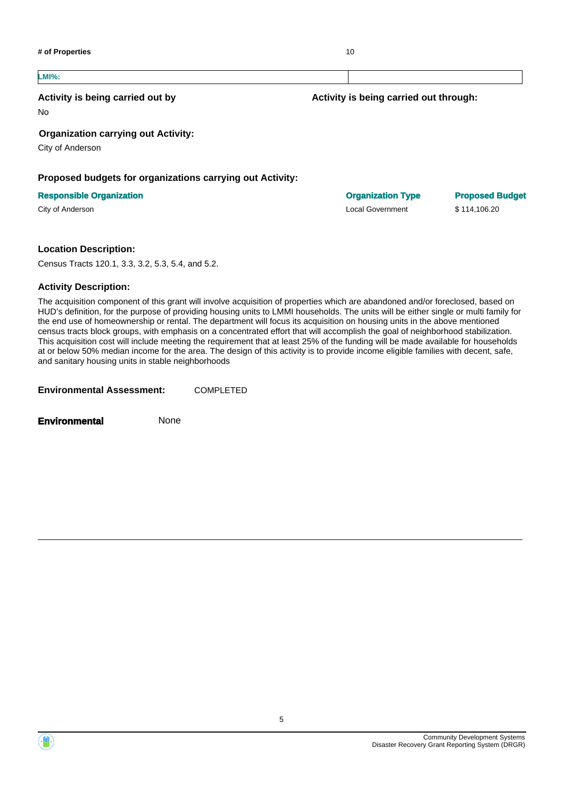

#### **LMI%:**

#### **Activity is being carried out by**

No

#### **Organization carrying out Activity:**

City of Anderson

#### **Proposed budgets for organizations carrying out Activity:**

#### **Responsible Organization Organization Type Proposed Budget**

#### **Location Description:**

Census Tracts 120.1, 3.3, 3.2, 5.3, 5.4, and 5.2.

#### **Activity Description:**

The acquisition component of this grant will involve acquisition of properties which are abandoned and/or foreclosed, based on HUD's definition, for the purpose of providing housing units to LMMI households. The units will be either single or multi family for the end use of homeownership or rental. The department will focus its acquisition on housing units in the above mentioned census tracts block groups, with emphasis on a concentrated effort that will accomplish the goal of neighborhood stabilization. This acquisition cost will include meeting the requirement that at least 25% of the funding will be made available for households at or below 50% median income for the area. The design of this activity is to provide income eligible families with decent, safe, and sanitary housing units in stable neighborhoods

**Environmental Assessment:** COMPLETED

**Environmental** None



City of Anderson Local Government \$ 114,106.20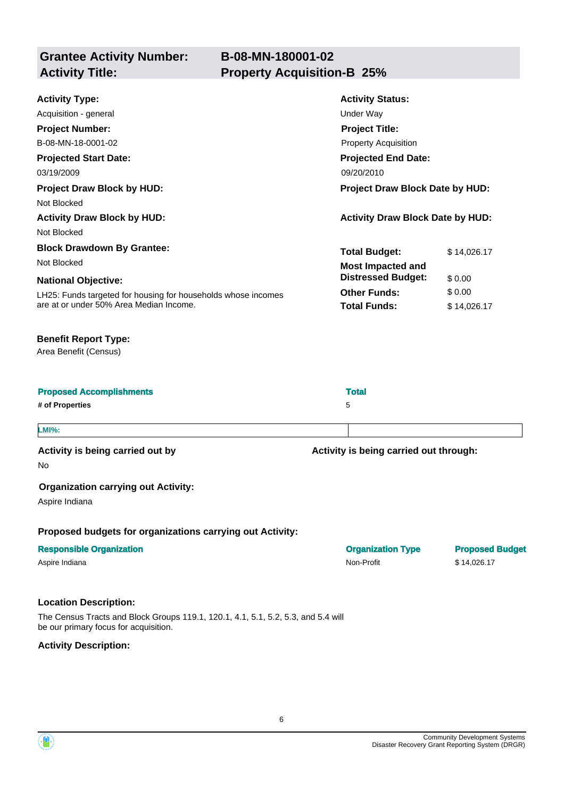| <b>Activity Type:</b>                                         | <b>Activity Status:</b>                 |             |  |
|---------------------------------------------------------------|-----------------------------------------|-------------|--|
| Acquisition - general                                         | Under Way                               |             |  |
| <b>Project Number:</b>                                        | <b>Project Title:</b>                   |             |  |
| B-08-MN-18-0001-02                                            | <b>Property Acquisition</b>             |             |  |
| <b>Projected Start Date:</b>                                  | <b>Projected End Date:</b>              |             |  |
| 03/19/2009                                                    | 09/20/2010                              |             |  |
| <b>Project Draw Block by HUD:</b>                             | <b>Project Draw Block Date by HUD:</b>  |             |  |
| Not Blocked                                                   |                                         |             |  |
| <b>Activity Draw Block by HUD:</b>                            | <b>Activity Draw Block Date by HUD:</b> |             |  |
| Not Blocked                                                   |                                         |             |  |
| <b>Block Drawdown By Grantee:</b>                             | <b>Total Budget:</b>                    | \$14,026.17 |  |
| Not Blocked                                                   | <b>Most Impacted and</b>                |             |  |
| <b>National Objective:</b>                                    | <b>Distressed Budget:</b>               | \$0.00      |  |
| LH25: Funds targeted for housing for households whose incomes | <b>Other Funds:</b>                     | \$0.00      |  |
| are at or under 50% Area Median Income.                       | <b>Total Funds:</b>                     | \$14,026.17 |  |
|                                                               |                                         |             |  |

#### **Benefit Report Type:**

Area Benefit (Census)

| <b>Proposed Accomplishments</b> | <b>Total</b> |
|---------------------------------|--------------|
| # of Properties                 | 5            |
|                                 |              |

#### **LMI%:**

**Activity is being carried out by**

**Activity is being carried out through:**

No

#### **Organization carrying out Activity:**

Aspire Indiana

**Proposed budgets for organizations carrying out Activity:**

| <b>Responsible Organization</b> | <b>Organization Type</b> | <b>Proposed</b> |
|---------------------------------|--------------------------|-----------------|
| Aspire Indiana                  | Non-Profit               | \$14.026.17     |

#### **Location Description:**

The Census Tracts and Block Groups 119.1, 120.1, 4.1, 5.1, 5.2, 5.3, and 5.4 will be our primary focus for acquisition.

**Activity Description:**



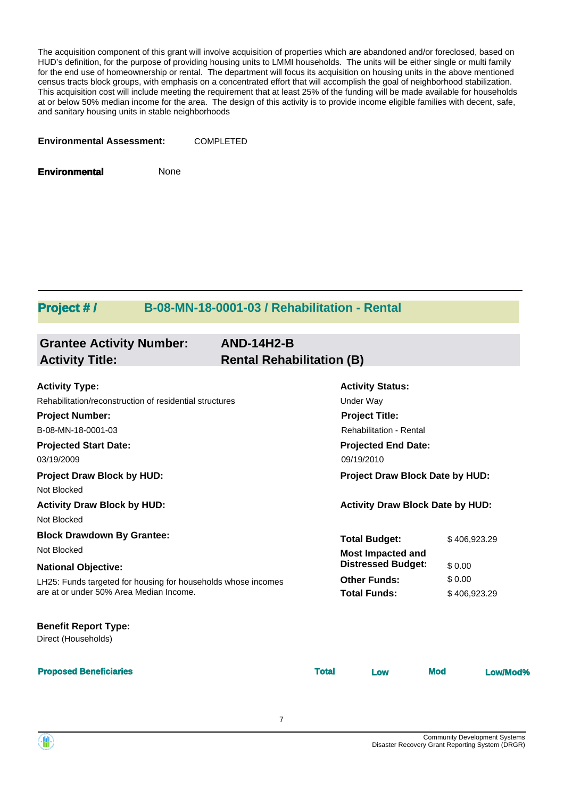The acquisition component of this grant will involve acquisition of properties which are abandoned and/or foreclosed, based on HUD's definition, for the purpose of providing housing units to LMMI households. The units will be either single or multi family for the end use of homeownership or rental. The department will focus its acquisition on housing units in the above mentioned census tracts block groups, with emphasis on a concentrated effort that will accomplish the goal of neighborhood stabilization. This acquisition cost will include meeting the requirement that at least 25% of the funding will be made available for households at or below 50% median income for the area. The design of this activity is to provide income eligible families with decent, safe, and sanitary housing units in stable neighborhoods

**Environmental Assessment:** COMPLETED

**Environmental** None

### **Project # / B-08-MN-18-0001-03 / Rehabilitation - Rental**

| <b>Grantee Activity Number:</b>                               | <b>AND-14H2-B</b>                |                                         |            |              |
|---------------------------------------------------------------|----------------------------------|-----------------------------------------|------------|--------------|
| <b>Activity Title:</b>                                        | <b>Rental Rehabilitation (B)</b> |                                         |            |              |
| <b>Activity Type:</b>                                         |                                  | <b>Activity Status:</b>                 |            |              |
| Rehabilitation/reconstruction of residential structures       |                                  | Under Way                               |            |              |
| <b>Project Number:</b>                                        |                                  | <b>Project Title:</b>                   |            |              |
| B-08-MN-18-0001-03                                            |                                  | <b>Rehabilitation - Rental</b>          |            |              |
| <b>Projected Start Date:</b>                                  |                                  | <b>Projected End Date:</b>              |            |              |
| 03/19/2009                                                    |                                  | 09/19/2010                              |            |              |
| <b>Project Draw Block by HUD:</b>                             |                                  | Project Draw Block Date by HUD:         |            |              |
| Not Blocked                                                   |                                  |                                         |            |              |
| <b>Activity Draw Block by HUD:</b>                            |                                  | <b>Activity Draw Block Date by HUD:</b> |            |              |
| Not Blocked                                                   |                                  |                                         |            |              |
| <b>Block Drawdown By Grantee:</b>                             |                                  | <b>Total Budget:</b>                    |            | \$406,923.29 |
| Not Blocked                                                   |                                  | <b>Most Impacted and</b>                |            |              |
| <b>National Objective:</b>                                    |                                  | <b>Distressed Budget:</b>               |            | \$0.00       |
| LH25: Funds targeted for housing for households whose incomes |                                  | <b>Other Funds:</b>                     |            | \$0.00       |
| are at or under 50% Area Median Income.                       |                                  | <b>Total Funds:</b>                     |            | \$406,923.29 |
| <b>Benefit Report Type:</b>                                   |                                  |                                         |            |              |
| Direct (Households)                                           |                                  |                                         |            |              |
| <b>Proposed Beneficiaries</b>                                 | <b>Total</b>                     | Low                                     | <b>Mod</b> | Low/Mod%     |

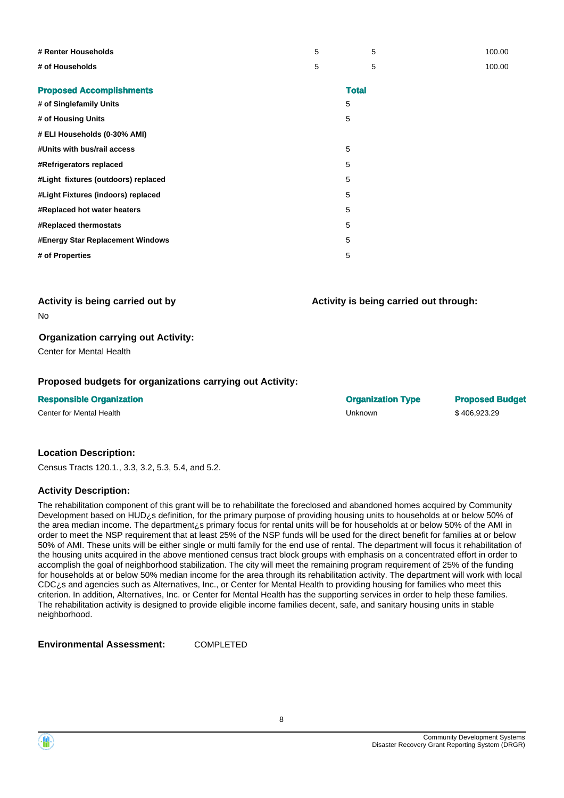| # Renter Households                 | 5 | 5            | 100.00 |
|-------------------------------------|---|--------------|--------|
| # of Households                     | 5 | 5            | 100.00 |
| <b>Proposed Accomplishments</b>     |   | <b>Total</b> |        |
| # of Singlefamily Units             |   | 5            |        |
| # of Housing Units                  |   | 5            |        |
| # ELI Households (0-30% AMI)        |   |              |        |
| #Units with bus/rail access         |   | 5            |        |
| #Refrigerators replaced             |   | 5            |        |
| #Light fixtures (outdoors) replaced |   | 5            |        |
| #Light Fixtures (indoors) replaced  |   | 5            |        |
| #Replaced hot water heaters         |   | 5            |        |
| #Replaced thermostats               |   | 5            |        |
| #Energy Star Replacement Windows    |   | 5            |        |
| # of Properties                     |   | 5            |        |

**Activity is being carried out by**

No

#### **Organization carrying out Activity:**

Center for Mental Health

#### **Proposed budgets for organizations carrying out Activity:**

**Responsible Organization Organization Type Proposed Budget**

Center for Mental Health **Center of Center of Center of Center of Center of Center of Center of Center of Center** 

**Activity is being carried out through:**

#### **Location Description:**

Census Tracts 120.1., 3.3, 3.2, 5.3, 5.4, and 5.2.

#### **Activity Description:**

The rehabilitation component of this grant will be to rehabilitate the foreclosed and abandoned homes acquired by Community Development based on HUD<sub>i</sub>s definition, for the primary purpose of providing housing units to households at or below 50% of the area median income. The department¿s primary focus for rental units will be for households at or below 50% of the AMI in order to meet the NSP requirement that at least 25% of the NSP funds will be used for the direct benefit for families at or below 50% of AMI. These units will be either single or multi family for the end use of rental. The department will focus it rehabilitation of the housing units acquired in the above mentioned census tract block groups with emphasis on a concentrated effort in order to accomplish the goal of neighborhood stabilization. The city will meet the remaining program requirement of 25% of the funding for households at or below 50% median income for the area through its rehabilitation activity. The department will work with local CDC¿s and agencies such as Alternatives, Inc., or Center for Mental Health to providing housing for families who meet this criterion. In addition, Alternatives, Inc. or Center for Mental Health has the supporting services in order to help these families. The rehabilitation activity is designed to provide eligible income families decent, safe, and sanitary housing units in stable neighborhood.

**Environmental Assessment:** COMPLETED

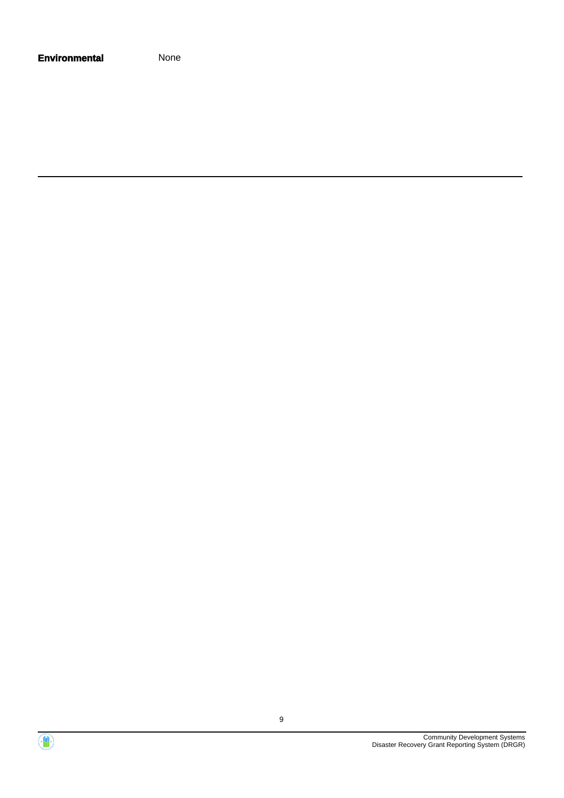| <b>Environmental</b> | None |
|----------------------|------|
|----------------------|------|

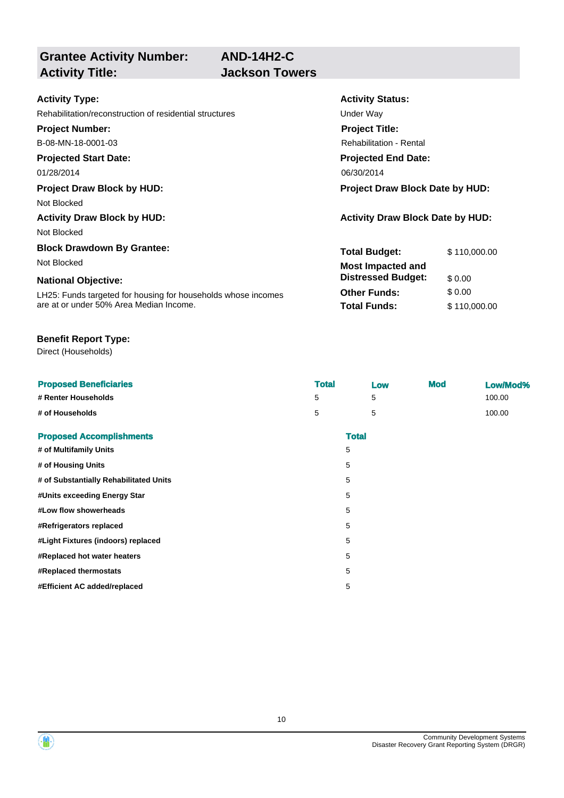**AND-14H2-C Jackson Towers** 

# **Grantee Activity Number:**

| <b>Activity Type:</b>                                         | <b>Activity Status:</b>                 |              |  |
|---------------------------------------------------------------|-----------------------------------------|--------------|--|
| Rehabilitation/reconstruction of residential structures       | Under Way                               |              |  |
| <b>Project Number:</b>                                        | <b>Project Title:</b>                   |              |  |
| B-08-MN-18-0001-03                                            | <b>Rehabilitation - Rental</b>          |              |  |
| <b>Projected Start Date:</b>                                  | <b>Projected End Date:</b>              |              |  |
| 01/28/2014                                                    | 06/30/2014                              |              |  |
| <b>Project Draw Block by HUD:</b>                             | <b>Project Draw Block Date by HUD:</b>  |              |  |
| Not Blocked                                                   |                                         |              |  |
| <b>Activity Draw Block by HUD:</b>                            | <b>Activity Draw Block Date by HUD:</b> |              |  |
| Not Blocked                                                   |                                         |              |  |
| <b>Block Drawdown By Grantee:</b>                             | <b>Total Budget:</b>                    | \$110,000.00 |  |
| Not Blocked                                                   | <b>Most Impacted and</b>                |              |  |
| <b>National Objective:</b>                                    | <b>Distressed Budget:</b>               | \$0.00       |  |
| LH25: Funds targeted for housing for households whose incomes | <b>Other Funds:</b>                     | \$0.00       |  |
| are at or under 50% Area Median Income.                       | <b>Total Funds:</b>                     | \$110,000.00 |  |

#### **Benefit Report Type:**

Direct (Households)

| <b>Proposed Beneficiaries</b>          | <b>Total</b> |              | Low | <b>Mod</b> | Low/Mod% |
|----------------------------------------|--------------|--------------|-----|------------|----------|
| # Renter Households                    | 5            |              | 5   |            | 100.00   |
| # of Households                        | 5            |              | 5   |            | 100.00   |
| <b>Proposed Accomplishments</b>        |              | <b>Total</b> |     |            |          |
| # of Multifamily Units                 |              | 5            |     |            |          |
| # of Housing Units                     |              | 5            |     |            |          |
| # of Substantially Rehabilitated Units |              | 5            |     |            |          |
| #Units exceeding Energy Star           |              | 5            |     |            |          |
| #Low flow showerheads                  |              | 5            |     |            |          |
| #Refrigerators replaced                |              | 5            |     |            |          |
| #Light Fixtures (indoors) replaced     |              | 5            |     |            |          |
| #Replaced hot water heaters            |              | 5            |     |            |          |
| #Replaced thermostats                  |              | 5            |     |            |          |
| #Efficient AC added/replaced           |              | 5            |     |            |          |

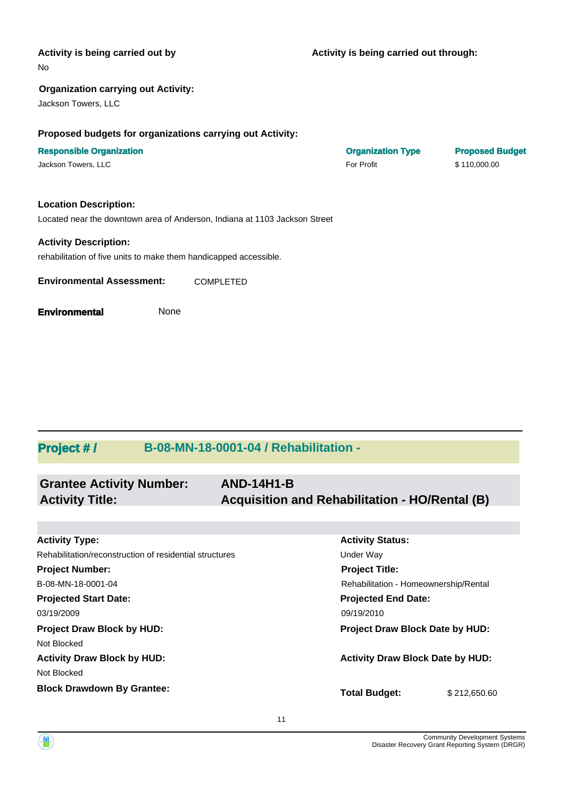| Activity is being carried out by<br>No                                     | Activity is being carried out through: |                        |
|----------------------------------------------------------------------------|----------------------------------------|------------------------|
| <b>Organization carrying out Activity:</b>                                 |                                        |                        |
| Jackson Towers, LLC                                                        |                                        |                        |
| Proposed budgets for organizations carrying out Activity:                  |                                        |                        |
| <b>Responsible Organization</b>                                            | <b>Organization Type</b>               | <b>Proposed Budget</b> |
| Jackson Towers, LLC                                                        | For Profit                             | \$110,000.00           |
| <b>Location Description:</b>                                               |                                        |                        |
| Located near the downtown area of Anderson, Indiana at 1103 Jackson Street |                                        |                        |
| <b>Activity Description:</b>                                               |                                        |                        |
| rehabilitation of five units to make them handicapped accessible.          |                                        |                        |
| <b>Environmental Assessment:</b><br><b>COMPLETED</b>                       |                                        |                        |
| None<br><b>Environmental</b>                                               |                                        |                        |

## **Project # / B-08-MN-18-0001-04 / Rehabilitation -**

| <b>Grantee Activity Number:</b> | <b>AND-14H1-B</b>                              |
|---------------------------------|------------------------------------------------|
| <b>Activity Title:</b>          | Acquisition and Rehabilitation - HO/Rental (B) |

| <b>Activity Type:</b>                                   | <b>Activity Status:</b>                 |              |  |
|---------------------------------------------------------|-----------------------------------------|--------------|--|
| Rehabilitation/reconstruction of residential structures | Under Way                               |              |  |
| <b>Project Number:</b>                                  | <b>Project Title:</b>                   |              |  |
| B-08-MN-18-0001-04                                      | Rehabilitation - Homeownership/Rental   |              |  |
| <b>Projected Start Date:</b>                            | <b>Projected End Date:</b>              |              |  |
| 03/19/2009                                              | 09/19/2010                              |              |  |
| <b>Project Draw Block by HUD:</b>                       | <b>Project Draw Block Date by HUD:</b>  |              |  |
| Not Blocked                                             |                                         |              |  |
| <b>Activity Draw Block by HUD:</b>                      | <b>Activity Draw Block Date by HUD:</b> |              |  |
| Not Blocked                                             |                                         |              |  |
| <b>Block Drawdown By Grantee:</b>                       | <b>Total Budget:</b>                    | \$212,650,60 |  |

11

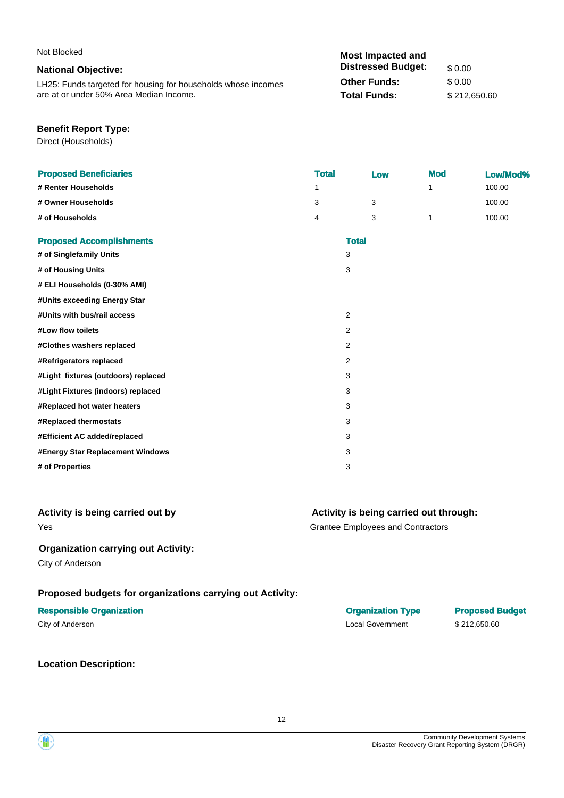| Not Blocked                                                   | <b>Most Impacted and</b>  |              |
|---------------------------------------------------------------|---------------------------|--------------|
| <b>National Objective:</b>                                    | <b>Distressed Budget:</b> | \$ 0.00      |
| LH25: Funds targeted for housing for households whose incomes | <b>Other Funds:</b>       | \$ 0.00      |
| are at or under 50% Area Median Income.                       | <b>Total Funds:</b>       | \$212.650.60 |

#### **Benefit Report Type:**

Direct (Households)

| 100.00<br>1<br>1<br>3<br>3<br>100.00<br>100.00<br>4<br>3<br>1<br><b>Total</b><br>3<br>3<br>$\overline{2}$<br>2<br>2<br>$\overline{2}$<br>3<br>3<br>3<br>3<br>3<br>3<br>3 | <b>Proposed Beneficiaries</b>       | <b>Total</b> | Low | <b>Mod</b> | Low/Mod% |
|--------------------------------------------------------------------------------------------------------------------------------------------------------------------------|-------------------------------------|--------------|-----|------------|----------|
|                                                                                                                                                                          | # Renter Households                 |              |     |            |          |
|                                                                                                                                                                          | # Owner Households                  |              |     |            |          |
|                                                                                                                                                                          | # of Households                     |              |     |            |          |
|                                                                                                                                                                          | <b>Proposed Accomplishments</b>     |              |     |            |          |
|                                                                                                                                                                          | # of Singlefamily Units             |              |     |            |          |
|                                                                                                                                                                          | # of Housing Units                  |              |     |            |          |
|                                                                                                                                                                          | # ELI Households (0-30% AMI)        |              |     |            |          |
|                                                                                                                                                                          | #Units exceeding Energy Star        |              |     |            |          |
|                                                                                                                                                                          | #Units with bus/rail access         |              |     |            |          |
|                                                                                                                                                                          | #Low flow toilets                   |              |     |            |          |
|                                                                                                                                                                          | #Clothes washers replaced           |              |     |            |          |
|                                                                                                                                                                          | #Refrigerators replaced             |              |     |            |          |
|                                                                                                                                                                          | #Light fixtures (outdoors) replaced |              |     |            |          |
|                                                                                                                                                                          | #Light Fixtures (indoors) replaced  |              |     |            |          |
|                                                                                                                                                                          | #Replaced hot water heaters         |              |     |            |          |
|                                                                                                                                                                          | #Replaced thermostats               |              |     |            |          |
|                                                                                                                                                                          | #Efficient AC added/replaced        |              |     |            |          |
|                                                                                                                                                                          | #Energy Star Replacement Windows    |              |     |            |          |
|                                                                                                                                                                          | # of Properties                     |              |     |            |          |

#### Yes **Activity is being carried out by**

#### **Activity is being carried out through:**

Grantee Employees and Contractors

#### **Organization carrying out Activity:**

City of Anderson

### **Proposed budgets for organizations carrying out Activity:**

#### **Responsible Organization Organization Type Proposed Budget**

**Location Description:**

City of Anderson \$212,650.60

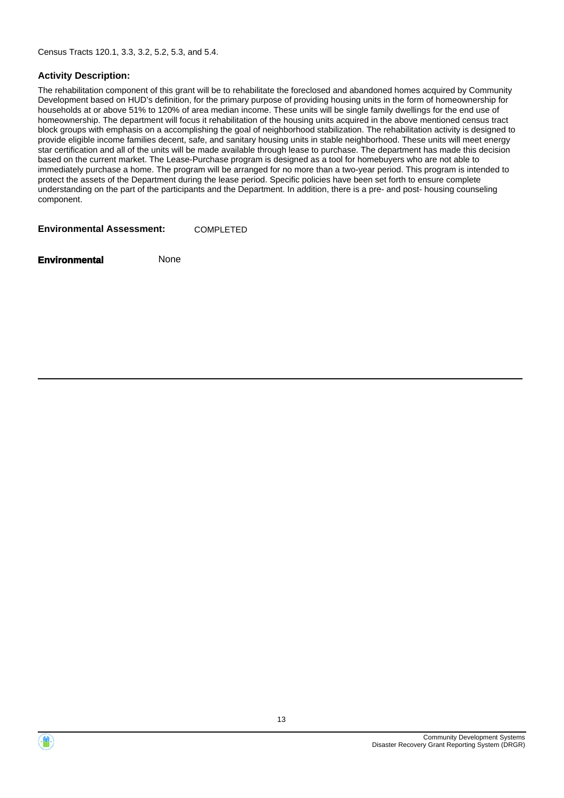Census Tracts 120.1, 3.3, 3.2, 5.2, 5.3, and 5.4.

#### **Activity Description:**

The rehabilitation component of this grant will be to rehabilitate the foreclosed and abandoned homes acquired by Community Development based on HUD's definition, for the primary purpose of providing housing units in the form of homeownership for households at or above 51% to 120% of area median income. These units will be single family dwellings for the end use of homeownership. The department will focus it rehabilitation of the housing units acquired in the above mentioned census tract block groups with emphasis on a accomplishing the goal of neighborhood stabilization. The rehabilitation activity is designed to provide eligible income families decent, safe, and sanitary housing units in stable neighborhood. These units will meet energy star certification and all of the units will be made available through lease to purchase. The department has made this decision based on the current market. The Lease-Purchase program is designed as a tool for homebuyers who are not able to immediately purchase a home. The program will be arranged for no more than a two-year period. This program is intended to protect the assets of the Department during the lease period. Specific policies have been set forth to ensure complete understanding on the part of the participants and the Department. In addition, there is a pre- and post- housing counseling component.

**Environmental Assessment:** COMPLETED

**Environmental** None

Community Development Systems Disaster Recovery Grant Reporting System (DRGR)

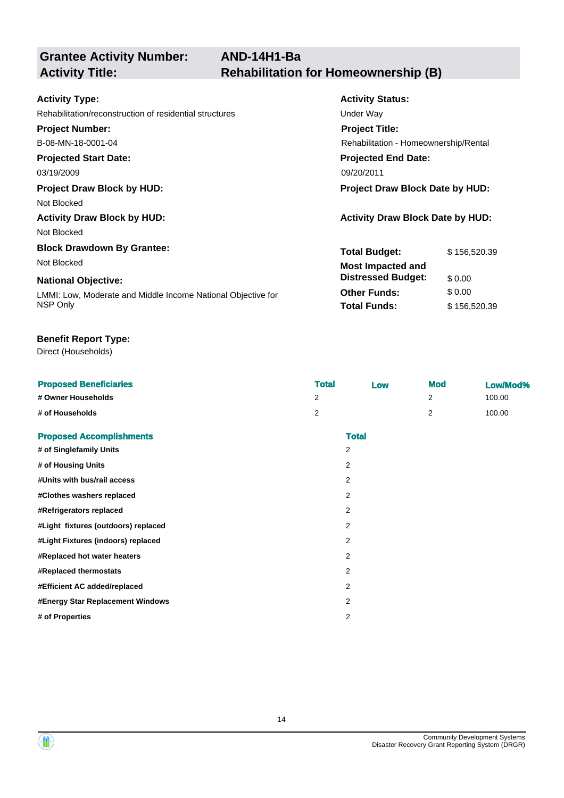**Grantee Activity Number:**

| <b>Activity Type:</b>                                        | <b>Activity Status:</b>                 |              |  |
|--------------------------------------------------------------|-----------------------------------------|--------------|--|
| Rehabilitation/reconstruction of residential structures      | Under Way                               |              |  |
| <b>Project Number:</b>                                       | <b>Project Title:</b>                   |              |  |
| B-08-MN-18-0001-04                                           | Rehabilitation - Homeownership/Rental   |              |  |
| <b>Projected Start Date:</b>                                 | <b>Projected End Date:</b>              |              |  |
| 03/19/2009                                                   | 09/20/2011                              |              |  |
| <b>Project Draw Block by HUD:</b>                            | <b>Project Draw Block Date by HUD:</b>  |              |  |
| Not Blocked                                                  |                                         |              |  |
| <b>Activity Draw Block by HUD:</b>                           | <b>Activity Draw Block Date by HUD:</b> |              |  |
| Not Blocked                                                  |                                         |              |  |
| <b>Block Drawdown By Grantee:</b>                            | <b>Total Budget:</b>                    | \$156,520.39 |  |
| Not Blocked                                                  | <b>Most Impacted and</b>                |              |  |
| <b>National Objective:</b>                                   | <b>Distressed Budget:</b>               | \$0.00       |  |
| LMMI: Low, Moderate and Middle Income National Objective for | <b>Other Funds:</b>                     | \$0.00       |  |
| NSP Only                                                     | <b>Total Funds:</b>                     | \$156,520.39 |  |

#### **Benefit Report Type:**

Direct (Households)

| <b>Proposed Beneficiaries</b>       | <b>Total</b>   | Low            | <b>Mod</b> | Low/Mod% |
|-------------------------------------|----------------|----------------|------------|----------|
| # Owner Households                  | $\overline{2}$ |                | 2          | 100.00   |
| # of Households                     | 2              |                | 2          | 100.00   |
| <b>Proposed Accomplishments</b>     |                | <b>Total</b>   |            |          |
| # of Singlefamily Units             |                | $\overline{2}$ |            |          |
| # of Housing Units                  |                | $\overline{2}$ |            |          |
| #Units with bus/rail access         |                | $\overline{2}$ |            |          |
| #Clothes washers replaced           |                | $\overline{2}$ |            |          |
| #Refrigerators replaced             |                | $\overline{2}$ |            |          |
| #Light fixtures (outdoors) replaced |                | $\overline{2}$ |            |          |
| #Light Fixtures (indoors) replaced  |                | $\overline{2}$ |            |          |
| #Replaced hot water heaters         |                | $\overline{2}$ |            |          |
| #Replaced thermostats               |                | $\overline{2}$ |            |          |
| #Efficient AC added/replaced        |                | 2              |            |          |
| #Energy Star Replacement Windows    |                | $\overline{2}$ |            |          |
| # of Properties                     |                | $\overline{2}$ |            |          |

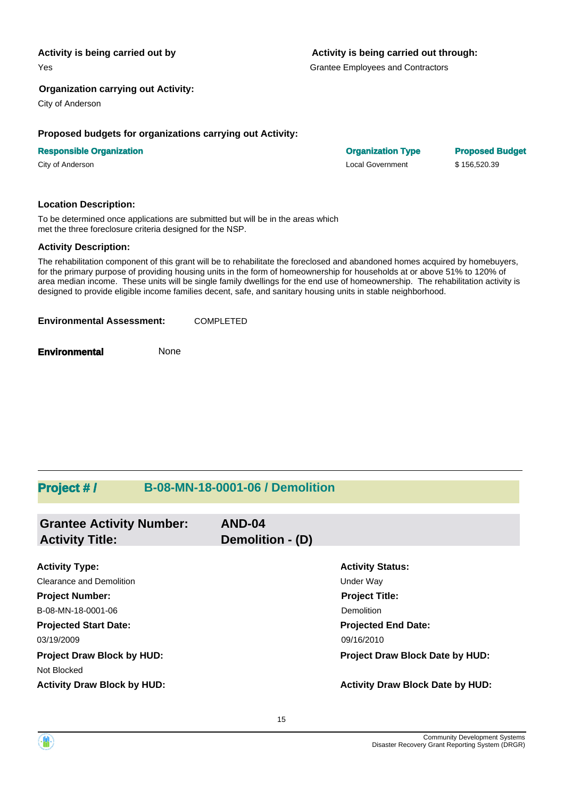#### **Activity is being carried out by**

Yes

#### **Organization carrying out Activity:**

City of Anderson

#### **Proposed budgets for organizations carrying out Activity:**

#### **Responsible Organization Organization Type Proposed Budget**

City of Anderson Local Government \$ 156,520.39

#### **Location Description:**

To be determined once applications are submitted but will be in the areas which met the three foreclosure criteria designed for the NSP.

#### **Activity Description:**

The rehabilitation component of this grant will be to rehabilitate the foreclosed and abandoned homes acquired by homebuyers, for the primary purpose of providing housing units in the form of homeownership for households at or above 51% to 120% of area median income. These units will be single family dwellings for the end use of homeownership. The rehabilitation activity is designed to provide eligible income families decent, safe, and sanitary housing units in stable neighborhood.

| <b>Environmental Assessment:</b> | <b>COMPLETED</b> |
|----------------------------------|------------------|
|                                  |                  |

**Environmental** None

### **Project # / B-08-MN-18-0001-06 / Demolition**

| <b>Grantee Activity Number:</b><br><b>Activity Title:</b> | AND-04<br>Demolition - (D) |                                         |
|-----------------------------------------------------------|----------------------------|-----------------------------------------|
|                                                           |                            |                                         |
| <b>Activity Type:</b>                                     |                            | <b>Activity Status:</b>                 |
| Clearance and Demolition                                  |                            | Under Way                               |
| <b>Project Number:</b>                                    |                            | <b>Project Title:</b>                   |
| B-08-MN-18-0001-06                                        |                            | <b>Demolition</b>                       |
| <b>Projected Start Date:</b>                              |                            | <b>Projected End Date:</b>              |
| 03/19/2009                                                |                            | 09/16/2010                              |
| <b>Project Draw Block by HUD:</b>                         |                            | Project Draw Block Date by HUD:         |
| Not Blocked                                               |                            |                                         |
| <b>Activity Draw Block by HUD:</b>                        |                            | <b>Activity Draw Block Date by HUD:</b> |

#### **Activity is being carried out through:**

Grantee Employees and Contractors

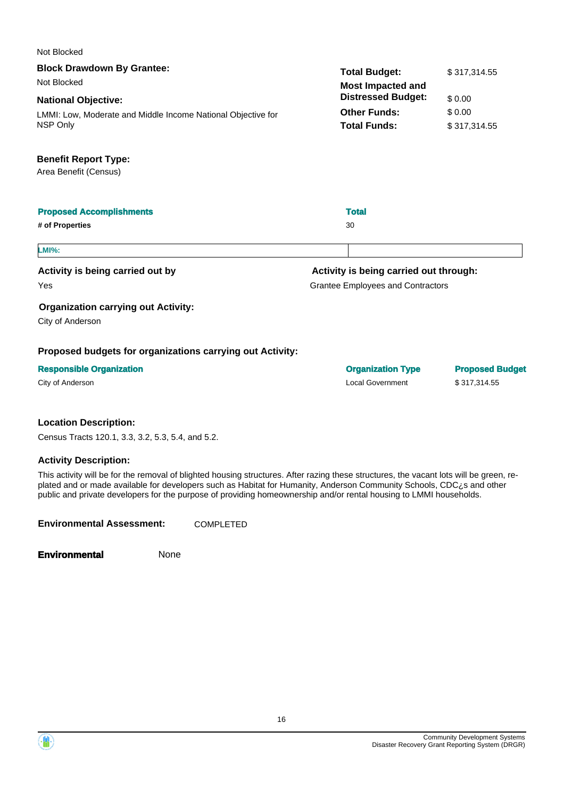| Not Blocked                                                  |                                          |                        |
|--------------------------------------------------------------|------------------------------------------|------------------------|
| <b>Block Drawdown By Grantee:</b>                            | <b>Total Budget:</b>                     | \$317,314.55           |
| Not Blocked                                                  | <b>Most Impacted and</b>                 |                        |
| <b>National Objective:</b>                                   | <b>Distressed Budget:</b>                | \$0.00                 |
| LMMI: Low, Moderate and Middle Income National Objective for | <b>Other Funds:</b>                      | \$0.00                 |
| NSP Only                                                     | <b>Total Funds:</b>                      | \$317,314.55           |
| <b>Benefit Report Type:</b>                                  |                                          |                        |
| Area Benefit (Census)                                        |                                          |                        |
| <b>Proposed Accomplishments</b>                              | <b>Total</b>                             |                        |
| # of Properties                                              | 30                                       |                        |
| <b>LMI%:</b>                                                 |                                          |                        |
| Activity is being carried out by                             | Activity is being carried out through:   |                        |
| Yes                                                          | <b>Grantee Employees and Contractors</b> |                        |
| <b>Organization carrying out Activity:</b>                   |                                          |                        |
| City of Anderson                                             |                                          |                        |
| Proposed budgets for organizations carrying out Activity:    |                                          |                        |
| <b>Responsible Organization</b>                              | <b>Organization Type</b>                 | <b>Proposed Budget</b> |
| City of Anderson                                             | <b>Local Government</b>                  | \$317,314.55           |
| والمساوية والمحافظ والمعاونة والمرادي                        |                                          |                        |

**Location Description:**

Census Tracts 120.1, 3.3, 3.2, 5.3, 5.4, and 5.2.

#### **Activity Description:**

This activity will be for the removal of blighted housing structures. After razing these structures, the vacant lots will be green, replated and or made available for developers such as Habitat for Humanity, Anderson Community Schools, CDC¿s and other public and private developers for the purpose of providing homeownership and/or rental housing to LMMI households.

**Environmental Assessment:** COMPLETED

**Environmental** None

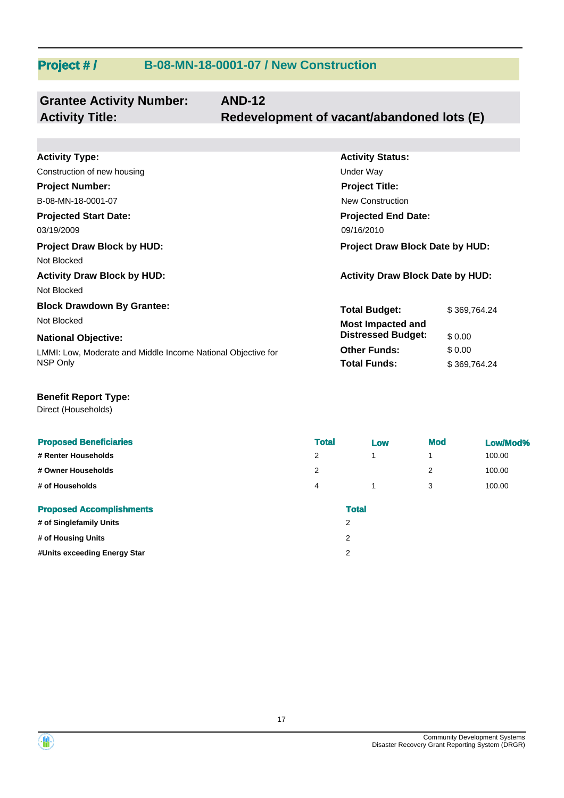### **Project # / B-08-MN-18-0001-07 / New Construction**

| <b>Grantee Activity Number:</b> | <b>AND-12</b>                              |
|---------------------------------|--------------------------------------------|
| <b>Activity Title:</b>          | Redevelopment of vacant/abandoned lots (E) |

| <b>Activity Type:</b>                                        | <b>Activity Status:</b>                 |              |
|--------------------------------------------------------------|-----------------------------------------|--------------|
| Construction of new housing                                  | Under Way                               |              |
| <b>Project Number:</b>                                       | <b>Project Title:</b>                   |              |
| B-08-MN-18-0001-07                                           | New Construction                        |              |
| <b>Projected Start Date:</b>                                 | <b>Projected End Date:</b>              |              |
| 03/19/2009                                                   | 09/16/2010                              |              |
| <b>Project Draw Block by HUD:</b>                            | <b>Project Draw Block Date by HUD:</b>  |              |
| Not Blocked                                                  |                                         |              |
| <b>Activity Draw Block by HUD:</b>                           | <b>Activity Draw Block Date by HUD:</b> |              |
| Not Blocked                                                  |                                         |              |
| <b>Block Drawdown By Grantee:</b>                            | <b>Total Budget:</b>                    | \$369,764.24 |
| Not Blocked                                                  | <b>Most Impacted and</b>                |              |
| <b>National Objective:</b>                                   | <b>Distressed Budget:</b>               | \$0.00       |
| LMMI: Low, Moderate and Middle Income National Objective for | <b>Other Funds:</b>                     | \$0.00       |
| NSP Only                                                     | <b>Total Funds:</b>                     | \$369,764.24 |

### **Benefit Report Type:**

Direct (Households)

| <b>Proposed Beneficiaries</b>   | <b>Total</b> |              | Low | <b>Mod</b> | Low/Mod% |
|---------------------------------|--------------|--------------|-----|------------|----------|
| # Renter Households             | 2            | 1            |     |            | 100.00   |
| # Owner Households              | 2            |              |     | 2          | 100.00   |
| # of Households                 | 4            | 1            |     | 3          | 100.00   |
| <b>Proposed Accomplishments</b> |              | <b>Total</b> |     |            |          |
| # of Singlefamily Units         |              | 2            |     |            |          |
| # of Housing Units              |              | 2            |     |            |          |
| #Units exceeding Energy Star    |              | 2            |     |            |          |



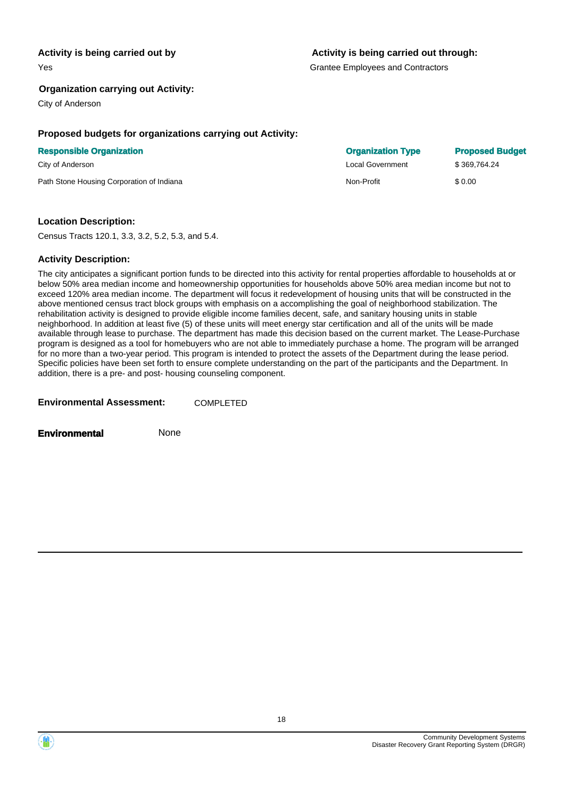#### **Activity is being carried out by**

Yes

#### **Activity is being carried out through:**

Grantee Employees and Contractors

#### **Organization carrying out Activity:**

City of Anderson

#### **Proposed budgets for organizations carrying out Activity:**

#### **Responsible Organization Organization Type Proposed Budget**

Path Stone Housing Corporation of Indiana Non-Profit Non-Profit \$ 0.00

#### **Location Description:**

Census Tracts 120.1, 3.3, 3.2, 5.2, 5.3, and 5.4.

#### **Activity Description:**

The city anticipates a significant portion funds to be directed into this activity for rental properties affordable to households at or below 50% area median income and homeownership opportunities for households above 50% area median income but not to exceed 120% area median income. The department will focus it redevelopment of housing units that will be constructed in the above mentioned census tract block groups with emphasis on a accomplishing the goal of neighborhood stabilization. The rehabilitation activity is designed to provide eligible income families decent, safe, and sanitary housing units in stable neighborhood. In addition at least five (5) of these units will meet energy star certification and all of the units will be made available through lease to purchase. The department has made this decision based on the current market. The Lease-Purchase program is designed as a tool for homebuyers who are not able to immediately purchase a home. The program will be arranged for no more than a two-year period. This program is intended to protect the assets of the Department during the lease period. Specific policies have been set forth to ensure complete understanding on the part of the participants and the Department. In addition, there is a pre- and post- housing counseling component.

| <b>Environmental Assessment:</b> | <b>COMPLETED</b> |
|----------------------------------|------------------|
|                                  |                  |

**Environmental** None

City of Anderson Local Government \$ 369,764.24

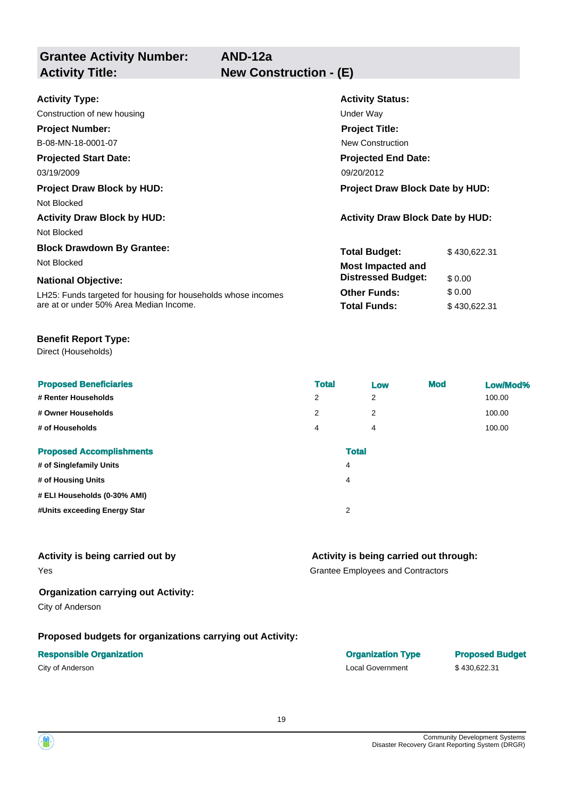**Grantee Activity Number: Projected Start Date: National Objective: Activity Status: Projected End Date: AND-12a Activity Type:** 03/19/2009 09/20/2012 09:00 09:00 09:00 09:00 09:00 09:00 09:00 09:00 09:00 09:00 09:00 09:00 09:00 09:00 09:0 Construction of new housing Under Way **Activity Title: New Construction - (E) Project Number:** B-08-MN-18-0001-07 **Project Title:** New Construction **Total Budget:** \$430,622.31 **Project Draw Block by HUD: Project Draw Block Date by HUD:** Not Blocked **Activity Draw Block by HUD: Activity Draw Block Date by HUD:** Not Blocked **Block Drawdown By Grantee:** Not Blocked **Most Impacted and Distressed Budget:** \$ 0.00

LH25: Funds targeted for housing for households whose incomes are at or under 50% Area Median Income.

#### **Benefit Report Type:**

Direct (Households)

| <b>Proposed Beneficiaries</b>   | <b>Total</b> | Low | <b>Mod</b> | Low/Mod% |
|---------------------------------|--------------|-----|------------|----------|
| # Renter Households             | 2            | 2   |            | 100.00   |
| # Owner Households              | 2            | 2   |            | 100.00   |
| # of Households                 | 4            | 4   |            | 100.00   |
| <b>Proposed Accomplishments</b> | <b>Total</b> |     |            |          |
| # of Singlefamily Units         | 4            |     |            |          |
| # of Housing Units              | 4            |     |            |          |
| # ELI Households (0-30% AMI)    |              |     |            |          |
| #Units exceeding Energy Star    | 2            |     |            |          |
|                                 |              |     |            |          |

#### **Activity is being carried out by**

Yes

### **Organization carrying out Activity:**

City of Anderson

#### **Proposed budgets for organizations carrying out Activity:**

#### **Responsible Organization Organization Type Proposed Budget**

### **Activity is being carried out through:**

**Other Funds:** \$ 0.00 **Total Funds:** \$ 430,622.31

Grantee Employees and Contractors

City of Anderson Local Government \$ 430,622.31

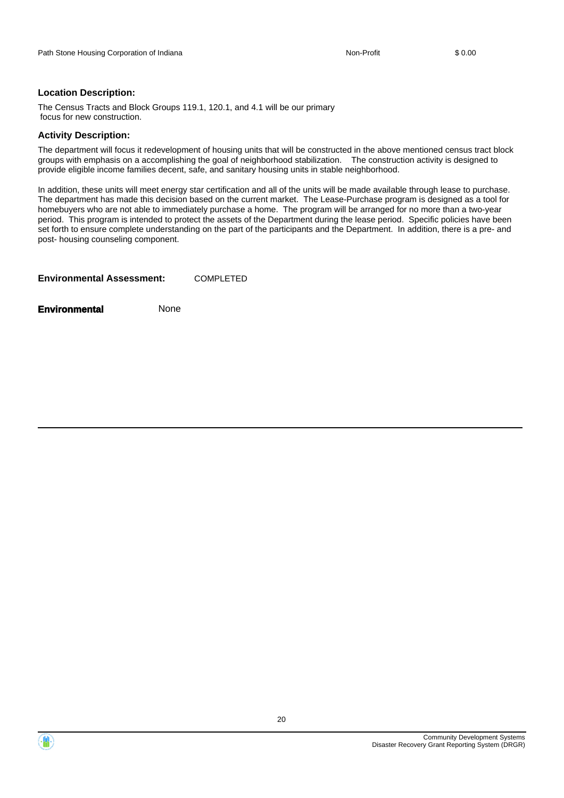#### **Location Description:**

The Census Tracts and Block Groups 119.1, 120.1, and 4.1 will be our primary focus for new construction.

#### **Activity Description:**

The department will focus it redevelopment of housing units that will be constructed in the above mentioned census tract block groups with emphasis on a accomplishing the goal of neighborhood stabilization. The construction activity is designed to provide eligible income families decent, safe, and sanitary housing units in stable neighborhood.

In addition, these units will meet energy star certification and all of the units will be made available through lease to purchase. The department has made this decision based on the current market. The Lease-Purchase program is designed as a tool for homebuyers who are not able to immediately purchase a home. The program will be arranged for no more than a two-year period. This program is intended to protect the assets of the Department during the lease period. Specific policies have been set forth to ensure complete understanding on the part of the participants and the Department. In addition, there is a pre- and post- housing counseling component.

| <b>Environmental Assessment:</b> | <b>COMPLETED</b> |
|----------------------------------|------------------|
|                                  |                  |

**Environmental** None

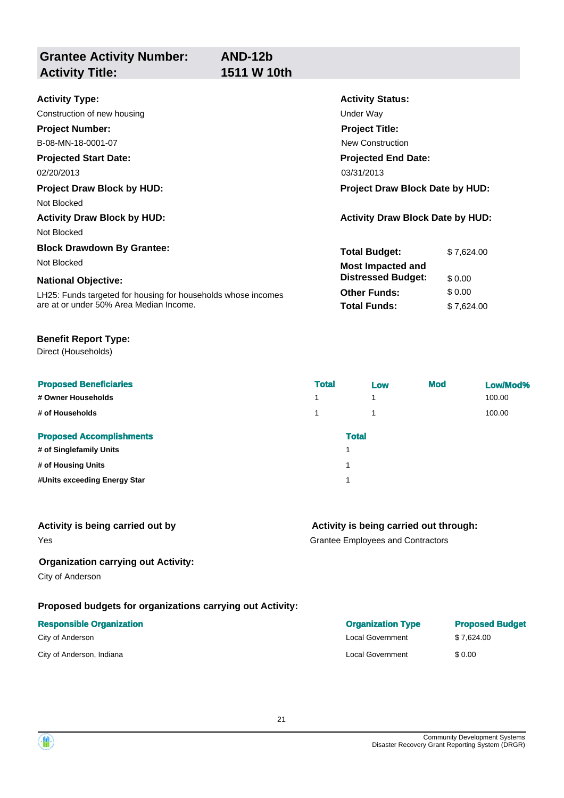**Grantee Activity Number: Projected Start Date:** LH25: Funds targeted for housing for households whose incomes are at or under 50% Area Median Income. **National Objective: Activity Status: Projected End Date: AND-12b Activity Type:** 02/20/2013 03/31/2013 03/31/2013 Construction of new housing Theorem 2012 Construction of new housing Theorem 2012 **Activity Title: 1511 W 10th Project Number:** B-08-MN-18-0001-07 **Project Title:** New Construction **Total Budget:** \$ 7,624.00 **Other Funds:** \$ 0.00 **Total Funds:** \$ 7,624.00 **Project Draw Block by HUD: Project Draw Block Date by HUD:** Not Blocked **Activity Draw Block by HUD: Activity Draw Block Date by HUD:** Not Blocked **Block Drawdown By Grantee:** Not Blocked **Most Impacted and Distressed Budget:** \$ 0.00

#### **Benefit Report Type:**

Direct (Households)

| <b>Proposed Beneficiaries</b>   | <b>Total</b> | Low | <b>Mod</b> | Low/Mod% |
|---------------------------------|--------------|-----|------------|----------|
| # Owner Households              | 1            | и   |            | 100.00   |
| # of Households                 |              |     |            | 100.00   |
| <b>Proposed Accomplishments</b> | <b>Total</b> |     |            |          |
| # of Singlefamily Units         | 1            |     |            |          |
| # of Housing Units              | 1            |     |            |          |
| #Units exceeding Energy Star    | 1            |     |            |          |
|                                 |              |     |            |          |

| Activity is being carried out by | Activity is being carried out through: |
|----------------------------------|----------------------------------------|
| Yes                              | Grantee Employees and Contractors      |

#### **Organization carrying out Activity:**

City of Anderson

#### **Proposed budgets for organizations carrying out Activity:**

#### **Responsible Organization**

City of Anderson

City of Anderson, Indiana Local Government \$ 0.00

| <b>Organization Type</b> | <b>Proposed Budget</b> |
|--------------------------|------------------------|
| <b>Local Government</b>  | \$7.624.00             |
|                          | .                      |

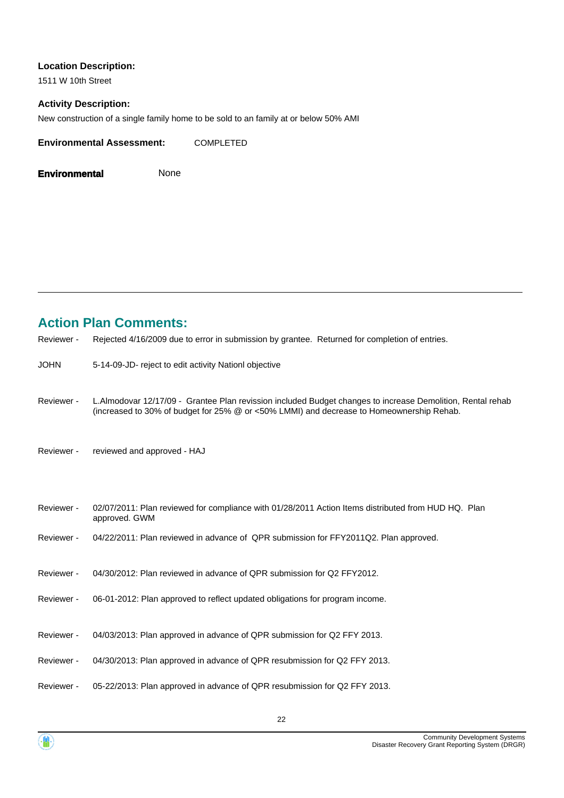#### **Location Description:**

1511 W 10th Street

### **Activity Description:**

New construction of a single family home to be sold to an family at or below 50% AMI

**Environmental Assessment:** COMPLETED

**Environmental** None

### **Action Plan Comments:**

| Reviewer -  | Rejected 4/16/2009 due to error in submission by grantee. Returned for completion of entries.                                                                                                          |
|-------------|--------------------------------------------------------------------------------------------------------------------------------------------------------------------------------------------------------|
| <b>JOHN</b> | 5-14-09-JD- reject to edit activity Nationl objective                                                                                                                                                  |
| Reviewer -  | L.Almodovar 12/17/09 - Grantee Plan revission included Budget changes to increase Demolition, Rental rehab<br>(increased to 30% of budget for 25% @ or <50% LMMI) and decrease to Homeownership Rehab. |
| Reviewer -  | reviewed and approved - HAJ                                                                                                                                                                            |
| Reviewer -  | 02/07/2011: Plan reviewed for compliance with 01/28/2011 Action Items distributed from HUD HQ. Plan<br>approved. GWM                                                                                   |
| Reviewer -  | 04/22/2011: Plan reviewed in advance of QPR submission for FFY2011Q2. Plan approved.                                                                                                                   |
| Reviewer -  | 04/30/2012; Plan reviewed in advance of QPR submission for Q2 FFY2012.                                                                                                                                 |
| Reviewer -  | 06-01-2012: Plan approved to reflect updated obligations for program income.                                                                                                                           |
| Reviewer -  | 04/03/2013: Plan approved in advance of QPR submission for Q2 FFY 2013.                                                                                                                                |
| Reviewer -  | 04/30/2013: Plan approved in advance of QPR resubmission for Q2 FFY 2013.                                                                                                                              |
| Reviewer -  | 05-22/2013: Plan approved in advance of QPR resubmission for Q2 FFY 2013.                                                                                                                              |